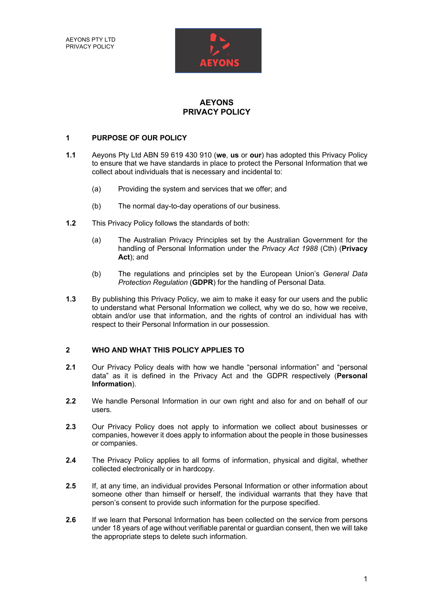AEYONS PTY LTD PRIVACY POLICY



# **AEYONS PRIVACY POLICY**

#### **1 PURPOSE OF OUR POLICY**

- **1.1** Aeyons Pty Ltd ABN 59 619 430 910 (**we**, **us** or **our**) has adopted this Privacy Policy to ensure that we have standards in place to protect the Personal Information that we collect about individuals that is necessary and incidental to:
	- (a) Providing the system and services that we offer; and
	- (b) The normal day-to-day operations of our business.
- **1.2** This Privacy Policy follows the standards of both:
	- (a) The Australian Privacy Principles set by the Australian Government for the handling of Personal Information under the *Privacy Act 1988* (Cth) (**Privacy Act**); and
	- (b) The regulations and principles set by the European Union's *General Data Protection Regulation* (**GDPR**) for the handling of Personal Data.
- **1.3** By publishing this Privacy Policy, we aim to make it easy for our users and the public to understand what Personal Information we collect, why we do so, how we receive, obtain and/or use that information, and the rights of control an individual has with respect to their Personal Information in our possession.

### **2 WHO AND WHAT THIS POLICY APPLIES TO**

- **2.1** Our Privacy Policy deals with how we handle "personal information" and "personal data" as it is defined in the Privacy Act and the GDPR respectively (**Personal Information**).
- **2.2** We handle Personal Information in our own right and also for and on behalf of our users.
- **2.3** Our Privacy Policy does not apply to information we collect about businesses or companies, however it does apply to information about the people in those businesses or companies.
- **2.4** The Privacy Policy applies to all forms of information, physical and digital, whether collected electronically or in hardcopy.
- **2.5** If, at any time, an individual provides Personal Information or other information about someone other than himself or herself, the individual warrants that they have that person's consent to provide such information for the purpose specified.
- **2.6** If we learn that Personal Information has been collected on the service from persons under 18 years of age without verifiable parental or guardian consent, then we will take the appropriate steps to delete such information.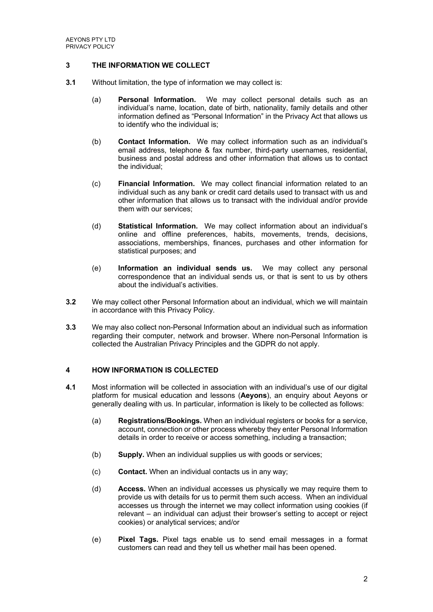### **3 THE INFORMATION WE COLLECT**

- **3.1** Without limitation, the type of information we may collect is:
	- (a) **Personal Information.** We may collect personal details such as an individual's name, location, date of birth, nationality, family details and other information defined as "Personal Information" in the Privacy Act that allows us to identify who the individual is;
	- (b) **Contact Information.** We may collect information such as an individual's email address, telephone & fax number, third-party usernames, residential, business and postal address and other information that allows us to contact the individual;
	- (c) **Financial Information.** We may collect financial information related to an individual such as any bank or credit card details used to transact with us and other information that allows us to transact with the individual and/or provide them with our services;
	- (d) **Statistical Information.** We may collect information about an individual's online and offline preferences, habits, movements, trends, decisions, associations, memberships, finances, purchases and other information for statistical purposes; and
	- (e) **Information an individual sends us.** We may collect any personal correspondence that an individual sends us, or that is sent to us by others about the individual's activities.
- **3.2** We may collect other Personal Information about an individual, which we will maintain in accordance with this Privacy Policy.
- **3.3** We may also collect non-Personal Information about an individual such as information regarding their computer, network and browser. Where non-Personal Information is collected the Australian Privacy Principles and the GDPR do not apply.

### **4 HOW INFORMATION IS COLLECTED**

- **4.1** Most information will be collected in association with an individual's use of our digital platform for musical education and lessons (**Aeyons**), an enquiry about Aeyons or generally dealing with us. In particular, information is likely to be collected as follows:
	- (a) **Registrations/Bookings.** When an individual registers or books for a service, account, connection or other process whereby they enter Personal Information details in order to receive or access something, including a transaction;
	- (b) **Supply.** When an individual supplies us with goods or services;
	- (c) **Contact.** When an individual contacts us in any way;
	- (d) **Access.** When an individual accesses us physically we may require them to provide us with details for us to permit them such access. When an individual accesses us through the internet we may collect information using cookies (if relevant – an individual can adjust their browser's setting to accept or reject cookies) or analytical services; and/or
	- (e) **Pixel Tags.** Pixel tags enable us to send email messages in a format customers can read and they tell us whether mail has been opened.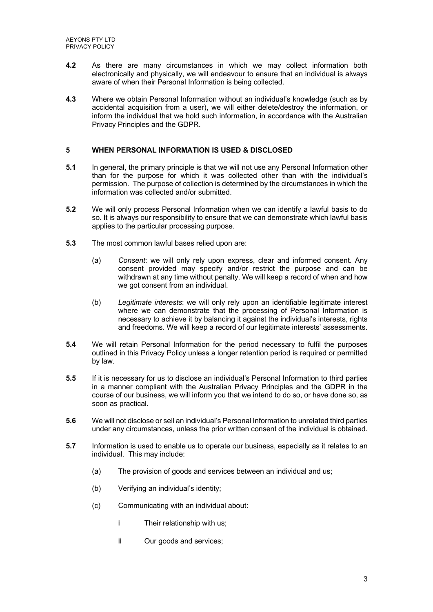- **4.2** As there are many circumstances in which we may collect information both electronically and physically, we will endeavour to ensure that an individual is always aware of when their Personal Information is being collected.
- **4.3** Where we obtain Personal Information without an individual's knowledge (such as by accidental acquisition from a user), we will either delete/destroy the information, or inform the individual that we hold such information, in accordance with the Australian Privacy Principles and the GDPR.

## **5 WHEN PERSONAL INFORMATION IS USED & DISCLOSED**

- **5.1** In general, the primary principle is that we will not use any Personal Information other than for the purpose for which it was collected other than with the individual's permission. The purpose of collection is determined by the circumstances in which the information was collected and/or submitted.
- **5.2** We will only process Personal Information when we can identify a lawful basis to do so. It is always our responsibility to ensure that we can demonstrate which lawful basis applies to the particular processing purpose.
- **5.3** The most common lawful bases relied upon are:
	- (a) *Consent*: we will only rely upon express, clear and informed consent. Any consent provided may specify and/or restrict the purpose and can be withdrawn at any time without penalty. We will keep a record of when and how we got consent from an individual.
	- (b) *Legitimate interests*: we will only rely upon an identifiable legitimate interest where we can demonstrate that the processing of Personal Information is necessary to achieve it by balancing it against the individual's interests, rights and freedoms. We will keep a record of our legitimate interests' assessments.
- **5.4** We will retain Personal Information for the period necessary to fulfil the purposes outlined in this Privacy Policy unless a longer retention period is required or permitted by law.
- **5.5** If it is necessary for us to disclose an individual's Personal Information to third parties in a manner compliant with the Australian Privacy Principles and the GDPR in the course of our business, we will inform you that we intend to do so, or have done so, as soon as practical.
- **5.6** We will not disclose or sell an individual's Personal Information to unrelated third parties under any circumstances, unless the prior written consent of the individual is obtained.
- **5.7** Information is used to enable us to operate our business, especially as it relates to an individual. This may include:
	- (a) The provision of goods and services between an individual and us;
	- (b) Verifying an individual's identity;
	- (c) Communicating with an individual about:
		- i Their relationship with us;
		- ii Our goods and services;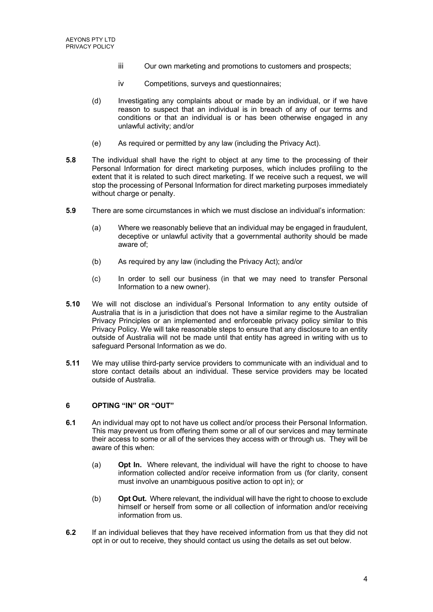- iii Our own marketing and promotions to customers and prospects;
- iv Competitions, surveys and questionnaires;
- (d) Investigating any complaints about or made by an individual, or if we have reason to suspect that an individual is in breach of any of our terms and conditions or that an individual is or has been otherwise engaged in any unlawful activity; and/or
- (e) As required or permitted by any law (including the Privacy Act).
- **5.8** The individual shall have the right to object at any time to the processing of their Personal Information for direct marketing purposes, which includes profiling to the extent that it is related to such direct marketing. If we receive such a request, we will stop the processing of Personal Information for direct marketing purposes immediately without charge or penalty.
- **5.9** There are some circumstances in which we must disclose an individual's information:
	- (a) Where we reasonably believe that an individual may be engaged in fraudulent, deceptive or unlawful activity that a governmental authority should be made aware of;
	- (b) As required by any law (including the Privacy Act); and/or
	- (c) In order to sell our business (in that we may need to transfer Personal Information to a new owner).
- **5.10** We will not disclose an individual's Personal Information to any entity outside of Australia that is in a jurisdiction that does not have a similar regime to the Australian Privacy Principles or an implemented and enforceable privacy policy similar to this Privacy Policy. We will take reasonable steps to ensure that any disclosure to an entity outside of Australia will not be made until that entity has agreed in writing with us to safeguard Personal Information as we do.
- **5.11** We may utilise third-party service providers to communicate with an individual and to store contact details about an individual. These service providers may be located outside of Australia.

# **6 OPTING "IN" OR "OUT"**

- **6.1** An individual may opt to not have us collect and/or process their Personal Information. This may prevent us from offering them some or all of our services and may terminate their access to some or all of the services they access with or through us. They will be aware of this when:
	- (a) **Opt In.** Where relevant, the individual will have the right to choose to have information collected and/or receive information from us (for clarity, consent must involve an unambiguous positive action to opt in); or
	- (b) **Opt Out.** Where relevant, the individual will have the right to choose to exclude himself or herself from some or all collection of information and/or receiving information from us.
- **6.2** If an individual believes that they have received information from us that they did not opt in or out to receive, they should contact us using the details as set out below.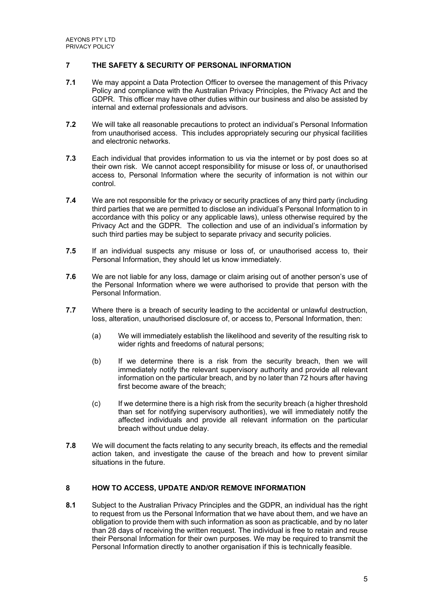## **7 THE SAFETY & SECURITY OF PERSONAL INFORMATION**

- **7.1** We may appoint a Data Protection Officer to oversee the management of this Privacy Policy and compliance with the Australian Privacy Principles, the Privacy Act and the GDPR. This officer may have other duties within our business and also be assisted by internal and external professionals and advisors.
- **7.2** We will take all reasonable precautions to protect an individual's Personal Information from unauthorised access. This includes appropriately securing our physical facilities and electronic networks.
- **7.3** Each individual that provides information to us via the internet or by post does so at their own risk. We cannot accept responsibility for misuse or loss of, or unauthorised access to, Personal Information where the security of information is not within our control.
- **7.4** We are not responsible for the privacy or security practices of any third party (including third parties that we are permitted to disclose an individual's Personal Information to in accordance with this policy or any applicable laws), unless otherwise required by the Privacy Act and the GDPR. The collection and use of an individual's information by such third parties may be subject to separate privacy and security policies.
- **7.5** If an individual suspects any misuse or loss of, or unauthorised access to, their Personal Information, they should let us know immediately.
- **7.6** We are not liable for any loss, damage or claim arising out of another person's use of the Personal Information where we were authorised to provide that person with the Personal Information.
- **7.7** Where there is a breach of security leading to the accidental or unlawful destruction, loss, alteration, unauthorised disclosure of, or access to, Personal Information, then:
	- (a) We will immediately establish the likelihood and severity of the resulting risk to wider rights and freedoms of natural persons;
	- (b) If we determine there is a risk from the security breach, then we will immediately notify the relevant supervisory authority and provide all relevant information on the particular breach, and by no later than 72 hours after having first become aware of the breach;
	- (c) If we determine there is a high risk from the security breach (a higher threshold than set for notifying supervisory authorities), we will immediately notify the affected individuals and provide all relevant information on the particular breach without undue delay.
- **7.8** We will document the facts relating to any security breach, its effects and the remedial action taken, and investigate the cause of the breach and how to prevent similar situations in the future.

#### **8 HOW TO ACCESS, UPDATE AND/OR REMOVE INFORMATION**

**8.1** Subject to the Australian Privacy Principles and the GDPR, an individual has the right to request from us the Personal Information that we have about them, and we have an obligation to provide them with such information as soon as practicable, and by no later than 28 days of receiving the written request. The individual is free to retain and reuse their Personal Information for their own purposes. We may be required to transmit the Personal Information directly to another organisation if this is technically feasible.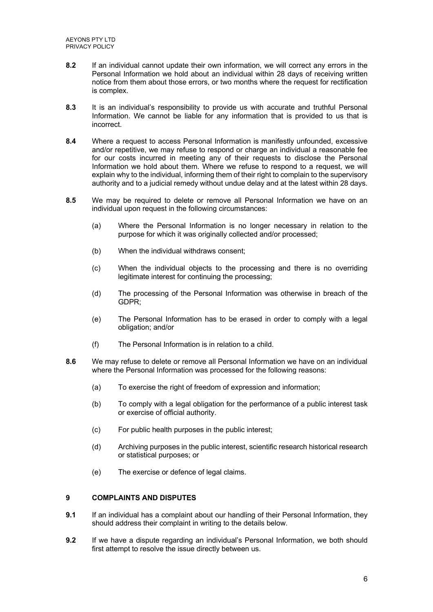AEYONS PTY LTD PRIVACY POLICY

- **8.2** If an individual cannot update their own information, we will correct any errors in the Personal Information we hold about an individual within 28 days of receiving written notice from them about those errors, or two months where the request for rectification is complex.
- **8.3** It is an individual's responsibility to provide us with accurate and truthful Personal Information. We cannot be liable for any information that is provided to us that is incorrect.
- **8.4** Where a request to access Personal Information is manifestly unfounded, excessive and/or repetitive, we may refuse to respond or charge an individual a reasonable fee for our costs incurred in meeting any of their requests to disclose the Personal Information we hold about them. Where we refuse to respond to a request, we will explain why to the individual, informing them of their right to complain to the supervisory authority and to a judicial remedy without undue delay and at the latest within 28 days.
- **8.5** We may be required to delete or remove all Personal Information we have on an individual upon request in the following circumstances:
	- (a) Where the Personal Information is no longer necessary in relation to the purpose for which it was originally collected and/or processed;
	- (b) When the individual withdraws consent;
	- (c) When the individual objects to the processing and there is no overriding legitimate interest for continuing the processing.
	- (d) The processing of the Personal Information was otherwise in breach of the GDPR;
	- (e) The Personal Information has to be erased in order to comply with a legal obligation; and/or
	- (f) The Personal Information is in relation to a child.
- **8.6** We may refuse to delete or remove all Personal Information we have on an individual where the Personal Information was processed for the following reasons:
	- (a) To exercise the right of freedom of expression and information;
	- (b) To comply with a legal obligation for the performance of a public interest task or exercise of official authority.
	- (c) For public health purposes in the public interest;
	- (d) Archiving purposes in the public interest, scientific research historical research or statistical purposes; or
	- (e) The exercise or defence of legal claims.

# **9 COMPLAINTS AND DISPUTES**

- **9.1** If an individual has a complaint about our handling of their Personal Information, they should address their complaint in writing to the details below.
- **9.2** If we have a dispute regarding an individual's Personal Information, we both should first attempt to resolve the issue directly between us.